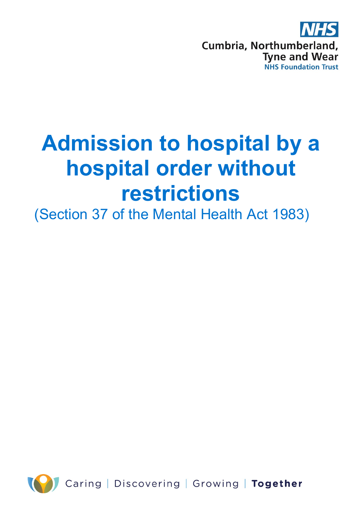

# **Admission to hospital by a hospital order without restrictions**

(Section 37 of the Mental Health Act 1983)

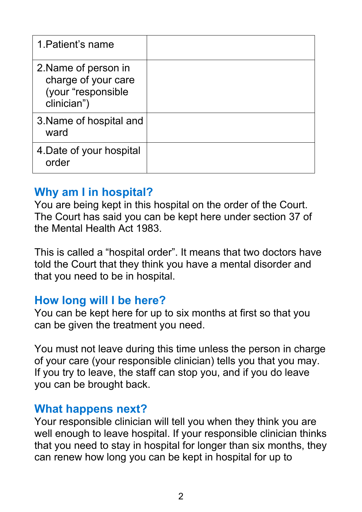| 1. Patient's name                                                                |  |
|----------------------------------------------------------------------------------|--|
| 2. Name of person in<br>charge of your care<br>(your "responsible<br>clinician") |  |
| 3. Name of hospital and<br>ward                                                  |  |
| 4. Date of your hospital<br>order                                                |  |

#### **Why am I in hospital?**

You are being kept in this hospital on the order of the Court. The Court has said you can be kept here under section 37 of the Mental Health Act 1983.

This is called a "hospital order". It means that two doctors have told the Court that they think you have a mental disorder and that you need to be in hospital.

#### **How long will I be here?**

You can be kept here for up to six months at first so that you can be given the treatment you need.

You must not leave during this time unless the person in charge of your care (your responsible clinician) tells you that you may. If you try to leave, the staff can stop you, and if you do leave you can be brought back.

#### **What happens next?**

Your responsible clinician will tell you when they think you are well enough to leave hospital. If your responsible clinician thinks that you need to stay in hospital for longer than six months, they can renew how long you can be kept in hospital for up to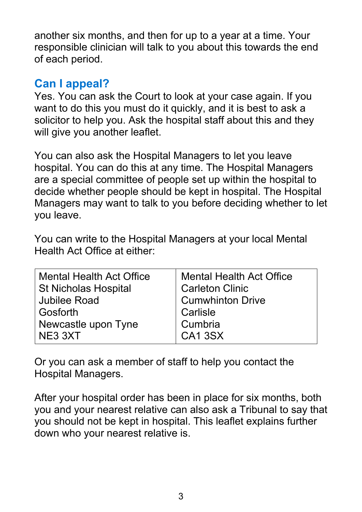another six months, and then for up to a year at a time. Your responsible clinician will talk to you about this towards the end of each period.

### **Can I appeal?**

Yes. You can ask the Court to look at your case again. If you want to do this you must do it quickly, and it is best to ask a solicitor to help you. Ask the hospital staff about this and they will give you another leaflet.

You can also ask the Hospital Managers to let you leave hospital. You can do this at any time. The Hospital Managers are a special committee of people set up within the hospital to decide whether people should be kept in hospital. The Hospital Managers may want to talk to you before deciding whether to let you leave.

You can write to the Hospital Managers at your local Mental Health Act Office at either:

| <b>Mental Health Act Office</b> | <b>Mental Health Act Office</b> |
|---------------------------------|---------------------------------|
| <b>St Nicholas Hospital</b>     | <b>Carleton Clinic</b>          |
| <b>Jubilee Road</b>             | <b>Cumwhinton Drive</b>         |
| Gosforth                        | Carlisle                        |
| Newcastle upon Tyne             | Cumbria                         |
| NE3 3XT                         | CA <sub>1</sub> 3SX             |

Or you can ask a member of staff to help you contact the Hospital Managers.

After your hospital order has been in place for six months, both you and your nearest relative can also ask a Tribunal to say that you should not be kept in hospital. This leaflet explains further down who your nearest relative is.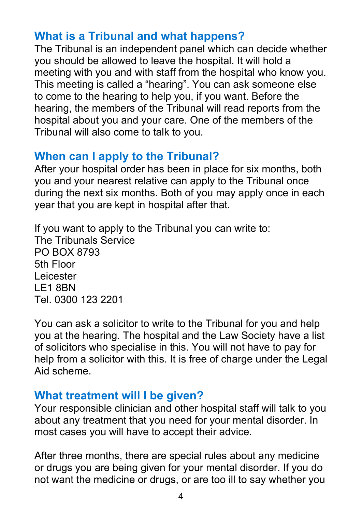## **What is a Tribunal and what happens?**

The Tribunal is an independent panel which can decide whether you should be allowed to leave the hospital. It will hold a meeting with you and with staff from the hospital who know you. This meeting is called a "hearing". You can ask someone else to come to the hearing to help you, if you want. Before the hearing, the members of the Tribunal will read reports from the hospital about you and your care. One of the members of the Tribunal will also come to talk to you.

## **When can I apply to the Tribunal?**

After your hospital order has been in place for six months, both you and your nearest relative can apply to the Tribunal once during the next six months. Both of you may apply once in each year that you are kept in hospital after that.

If you want to apply to the Tribunal you can write to: The Tribunals Service PO BOX 8793 5th Floor Leicester LE1 8BN Tel. 0300 123 2201

You can ask a solicitor to write to the Tribunal for you and help you at the hearing. The hospital and the Law Society have a list of solicitors who specialise in this. You will not have to pay for help from a solicitor with this. It is free of charge under the Legal Aid scheme.

## **What treatment will I be given?**

Your responsible clinician and other hospital staff will talk to you about any treatment that you need for your mental disorder. In most cases you will have to accept their advice.

After three months, there are special rules about any medicine or drugs you are being given for your mental disorder. If you do not want the medicine or drugs, or are too ill to say whether you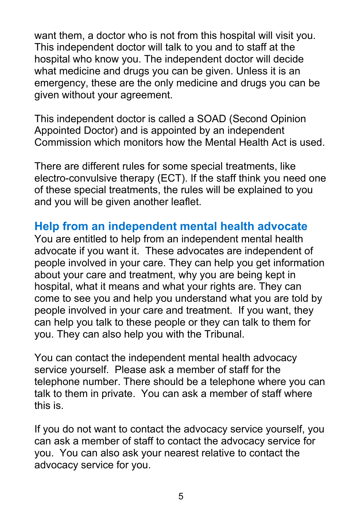want them, a doctor who is not from this hospital will visit you. This independent doctor will talk to you and to staff at the hospital who know you. The independent doctor will decide what medicine and drugs you can be given. Unless it is an emergency, these are the only medicine and drugs you can be given without your agreement.

This independent doctor is called a SOAD (Second Opinion Appointed Doctor) and is appointed by an independent Commission which monitors how the Mental Health Act is used.

There are different rules for some special treatments, like electro-convulsive therapy (ECT). If the staff think you need one of these special treatments, the rules will be explained to you and you will be given another leaflet.

#### **Help from an independent mental health advocate**

You are entitled to help from an independent mental health advocate if you want it. These advocates are independent of people involved in your care. They can help you get information about your care and treatment, why you are being kept in hospital, what it means and what your rights are. They can come to see you and help you understand what you are told by people involved in your care and treatment. If you want, they can help you talk to these people or they can talk to them for you. They can also help you with the Tribunal.

You can contact the independent mental health advocacy service yourself. Please ask a member of staff for the telephone number. There should be a telephone where you can talk to them in private. You can ask a member of staff where this is.

If you do not want to contact the advocacy service yourself, you can ask a member of staff to contact the advocacy service for you. You can also ask your nearest relative to contact the advocacy service for you.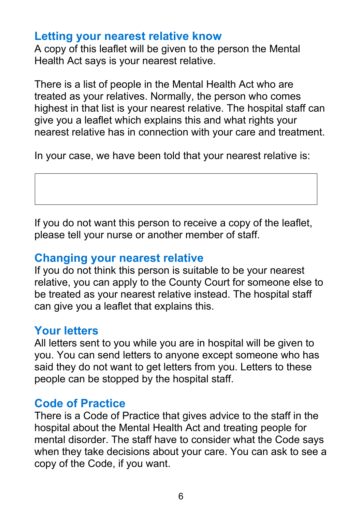#### **Letting your nearest relative know**

A copy of this leaflet will be given to the person the Mental Health Act says is your nearest relative.

There is a list of people in the Mental Health Act who are treated as your relatives. Normally, the person who comes highest in that list is your nearest relative. The hospital staff can give you a leaflet which explains this and what rights your nearest relative has in connection with your care and treatment.

In your case, we have been told that your nearest relative is:

If you do not want this person to receive a copy of the leaflet, please tell your nurse or another member of staff.

#### **Changing your nearest relative**

If you do not think this person is suitable to be your nearest relative, you can apply to the County Court for someone else to be treated as your nearest relative instead. The hospital staff can give you a leaflet that explains this.

## **Your letters**

All letters sent to you while you are in hospital will be given to you. You can send letters to anyone except someone who has said they do not want to get letters from you. Letters to these people can be stopped by the hospital staff.

#### **Code of Practice**

There is a Code of Practice that gives advice to the staff in the hospital about the Mental Health Act and treating people for mental disorder. The staff have to consider what the Code says when they take decisions about your care. You can ask to see a copy of the Code, if you want.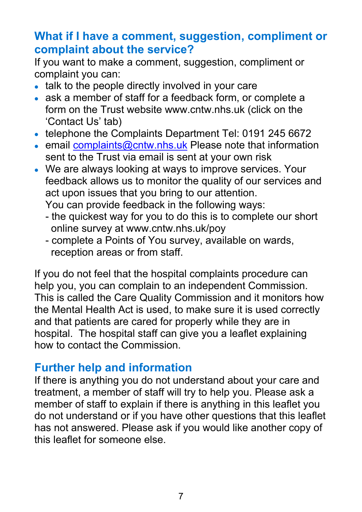## **What if I have a comment, suggestion, compliment or complaint about the service?**

If you want to make a comment, suggestion, compliment or complaint you can:

- talk to the people directly involved in your care
- ask a member of staff for a feedback form, or complete a form on the Trust website www.cntw.nhs.uk (click on the 'Contact Us' tab)
- telephone the Complaints Department Tel: 0191 245 6672
- email [complaints@cntw.nhs.uk](mailto:complaints@cntw.nhs.uk) Please note that information sent to the Trust via email is sent at your own risk
- We are always looking at ways to improve services. Your feedback allows us to monitor the quality of our services and act upon issues that you bring to our attention.

You can provide feedback in the following ways:

- the quickest way for you to do this is to complete our short online survey at www.cntw.nhs.uk/poy
- complete a Points of You survey, available on wards, reception areas or from staff.

If you do not feel that the hospital complaints procedure can help you, you can complain to an independent Commission. This is called the Care Quality Commission and it monitors how the Mental Health Act is used, to make sure it is used correctly and that patients are cared for properly while they are in hospital. The hospital staff can give you a leaflet explaining how to contact the Commission.

#### **Further help and information**

If there is anything you do not understand about your care and treatment, a member of staff will try to help you. Please ask a member of staff to explain if there is anything in this leaflet you do not understand or if you have other questions that this leaflet has not answered. Please ask if you would like another copy of this leaflet for someone else.